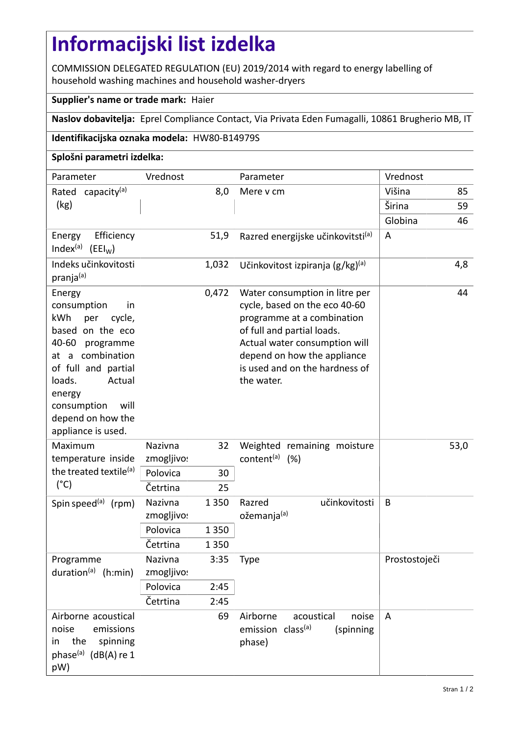## **Informacijski list izdelka**

COMMISSION DELEGATED REGULATION (EU) 2019/2014 with regard to energy labelling of household washing machines and household washer-dryers

## **Supplier's name or trade mark:** Haier

**Naslov dobavitelja:** Eprel Compliance Contact, Via Privata Eden Fumagalli, 10861 Brugherio MB, IT

## **Identifikacijska oznaka modela:** HW80-B14979S

## **Splošni parametri izdelka:**

| Parameter                                                                                                                                                                                                                                | Vrednost             |         | Parameter                                                                                                                                                                                                                                   | Vrednost       |      |
|------------------------------------------------------------------------------------------------------------------------------------------------------------------------------------------------------------------------------------------|----------------------|---------|---------------------------------------------------------------------------------------------------------------------------------------------------------------------------------------------------------------------------------------------|----------------|------|
| capacity <sup>(a)</sup><br>Rated<br>(kg)                                                                                                                                                                                                 | 8,0                  |         | Mere v cm                                                                                                                                                                                                                                   | Višina         | 85   |
|                                                                                                                                                                                                                                          |                      |         |                                                                                                                                                                                                                                             | Širina         | 59   |
|                                                                                                                                                                                                                                          |                      |         |                                                                                                                                                                                                                                             | Globina        | 46   |
| Efficiency<br>Energy<br>Index <sup>(a)</sup> (EEI <sub>W</sub> )                                                                                                                                                                         |                      | 51,9    | Razred energijske učinkovitsti <sup>(a)</sup>                                                                                                                                                                                               | $\overline{A}$ |      |
| Indeks učinkovitosti<br>pranja(a)                                                                                                                                                                                                        |                      | 1,032   | Učinkovitost izpiranja $(g/kg)^{(a)}$                                                                                                                                                                                                       |                | 4,8  |
| Energy<br>consumption<br>in<br>kWh<br>per<br>cycle,<br>based on the eco<br>40-60<br>programme<br>at a combination<br>of full and partial<br>loads.<br>Actual<br>energy<br>will<br>consumption<br>depend on how the<br>appliance is used. |                      | 0,472   | Water consumption in litre per<br>cycle, based on the eco 40-60<br>programme at a combination<br>of full and partial loads.<br>Actual water consumption will<br>depend on how the appliance<br>is used and on the hardness of<br>the water. |                | 44   |
| Maximum<br>temperature inside                                                                                                                                                                                                            | Nazivna              | 32      | Weighted remaining moisture                                                                                                                                                                                                                 |                | 53,0 |
|                                                                                                                                                                                                                                          | zmogljivo            |         | content <sup>(a)</sup> (%)                                                                                                                                                                                                                  |                |      |
| the treated textile <sup>(a)</sup>                                                                                                                                                                                                       | Polovica             | 30      |                                                                                                                                                                                                                                             |                |      |
| $(^{\circ}C)$                                                                                                                                                                                                                            | Četrtina             | 25      |                                                                                                                                                                                                                                             |                |      |
| Spin speed $(a)$ (rpm)                                                                                                                                                                                                                   | Nazivna<br>zmogljivo | 1 3 5 0 | učinkovitosti<br>Razred<br>ožemanja <sup>(a)</sup>                                                                                                                                                                                          | B              |      |
|                                                                                                                                                                                                                                          | Polovica             | 1 3 5 0 |                                                                                                                                                                                                                                             |                |      |
|                                                                                                                                                                                                                                          | Četrtina             | 1 3 5 0 |                                                                                                                                                                                                                                             |                |      |
| Programme<br>duration <sup>(a)</sup> (h:min)                                                                                                                                                                                             | Nazivna<br>zmogljivo | 3:35    | Type                                                                                                                                                                                                                                        | Prostostoječi  |      |
|                                                                                                                                                                                                                                          | Polovica             | 2:45    |                                                                                                                                                                                                                                             |                |      |
|                                                                                                                                                                                                                                          | Četrtina             | 2:45    |                                                                                                                                                                                                                                             |                |      |
| Airborne acoustical<br>emissions<br>noise<br>the<br>spinning<br>in<br>phase <sup>(a)</sup> (dB(A) re 1<br>pW)                                                                                                                            |                      | 69      | Airborne<br>noise<br>acoustical<br>emission class <sup>(a)</sup><br>(spinning<br>phase)                                                                                                                                                     | A              |      |